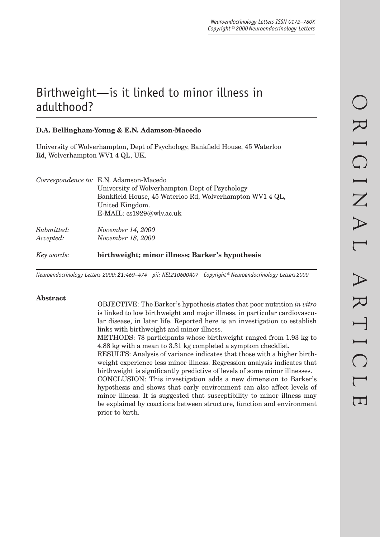# Birthweight —is it linked to minor illness in adulthood?

# **D.A. Bellingham-Young & E.N. Adamson-Macedo**

University of Wolverhampton, Dept of Psychology, Bankfield House, 45 Waterloo Rd, Wolverhampton WV1 4 QL, UK.

| Key words: | birthweight; minor illness; Barker's hypothesis          |
|------------|----------------------------------------------------------|
| Accepted:  | November 18, 2000                                        |
| Submitted: | November 14, 2000                                        |
|            | E-MAIL: cs1929@wlv.ac.uk                                 |
|            | United Kingdom.                                          |
|            | Bankfield House, 45 Waterloo Rd, Wolverhampton WV1 4 QL, |
|            | University of Wolverhampton Dept of Psychology           |
|            | Correspondence to: E.N. Adamson-Macedo                   |

*Neuroendocrinology Letters 2000; 21:469–474 pii: NEL210600A07 Copyright © Neuroendocrinology Letters 2000*

## **Abstract**

OBJECTIVE: The Barker's hypothesis states that poor nutrition *in vitro* is linked to low birthweight and major illness, in particular cardiovascular disease, in later life. Reported here is an investigation to establish links with birthweight and minor illness.

METHODS: 78 participants whose birthweight ranged from 1.93 kg to 4.88 kg with a mean to 3.31 kg completed a symptom checklist.

RESULTS: Analysis of variance indicates that those with a higher birthweight experience less minor illness. Regression analysis indicates that birthweight is significantly predictive of levels of some minor illnesses.

CONCLUSION: This investigation adds a new dimension to Barker's hypothesis and shows that early environment can also affect levels of minor illness. It is suggested that susceptibility to minor illness may be explained by coactions between structure, function and environment prior to birth.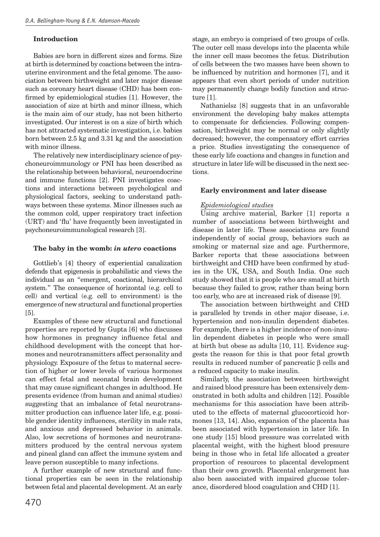## **Introduction**

Babies are born in different sizes and forms. Size at birth is determined by coactions between the intrauterine environment and the fetal genome. The association between birthweight and later major disease such as coronary heart disease (CHD) has been confirmed by epidemiological studies [1]. However, the association of size at birth and minor illness, which is the main aim of our study, has not been hitherto investigated. Our interest is on a size of birth which has not attracted systematic investigation, i.e. babies born between 2.5 kg and 3.31 kg and the association with minor illness.

The relatively new interdisciplinary science of psychoneuroimmunology or PNI has been described as the relationship between behavioral, neuroendocrine and immune functions [2]. PNI investigates coactions and interactions between psychological and physiological factors, seeking to understand pathways between these systems. Minor illnesses such as the common cold, upper respiratory tract infection (URT) and 'flu' have frequently been investigated in psychoneuroimmunological research [3].

## **The baby in the womb:** *in utero* **coactions**

Gottlieb's [4] theory of experiential canalization defends that epigenesis is probabilistic and views the individual as an "emergent, coactional, hierarchical system." The consequence of horizontal (e.g. cell to cell) and vertical (e.g. cell to environment) is the emergence of new structural and functional properties [5].

Examples of these new structural and functional properties are reported by Gupta [6] who discusses how hormones in pregnancy influence fetal and childhood development with the concept that hormones and neurotransmitters affect personality and physiology. Exposure of the fetus to maternal secretion of higher or lower levels of various hormones can effect fetal and neonatal brain development that may cause significant changes in adulthood. He presents evidence (from human and animal studies) suggesting that an imbalance of fetal neurotransmitter production can influence later life, e.g. possible gender identity influences, sterility in male rats, and anxious and depressed behavior in animals. Also, low secretions of hormones and neurotransmitters produced by the central nervous system and pineal gland can affect the immune system and leave person susceptible to many infections.

A further example of new structural and functional properties can be seen in the relationship between fetal and placental development. At an early stage, an embryo is comprised of two groups of cells. The outer cell mass develops into the placenta while the inner cell mass becomes the fetus. Distribution of cells between the two masses have been shown to be influenced by nutrition and hormones [7], and it appears that even short periods of under nutrition may permanently change bodily function and structure [1].

Nathanielsz [8] suggests that in an unfavorable environment the developing baby makes attempts to compensate for deficiencies. Following compensation, birthweight may be normal or only slightly decreased; however, the compensatory effort carries a price. Studies investigating the consequence of these early life coactions and changes in function and structure in later life will be discussed in the next sections.

## **Early environment and later disease**

## *Epidemiological studies*

Using archive material, Barker [1] reports a number of associations between birthweight and disease in later life. These associations are found independently of social group, behaviors such as smoking or maternal size and age. Furthermore, Barker reports that these associations between birthweight and CHD have been confirmed by studies in the UK, USA, and South India. One such study showed that it is people who are small at birth because they failed to grow, rather than being born too early, who are at increased risk of disease [9].

The association between birthweight and CHD is paralleled by trends in other major disease, i.e. hypertension and non-insulin dependent diabetes. For example, there is a higher incidence of non-insulin dependent diabetes in people who were small at birth but obese as adults [10, 11]. Evidence suggests the reason for this is that poor fetal growth results in reduced number of pancreatic β cells and a reduced capacity to make insulin.

Similarly, the association between birthweight and raised blood pressure has been extensively demonstrated in both adults and children [12]. Possible mechanisms for this association have been attributed to the effects of maternal glucocorticoid hormones [13, 14]. Also, expansion of the placenta has been associated with hypertension in later life. In one study [15] blood pressure was correlated with placental weight, with the highest blood pressure being in those who in fetal life allocated a greater proportion of resources to placental development than their own growth. Placental enlargement has also been associated with impaired glucose tolerance, disordered blood coagulation and CHD [1].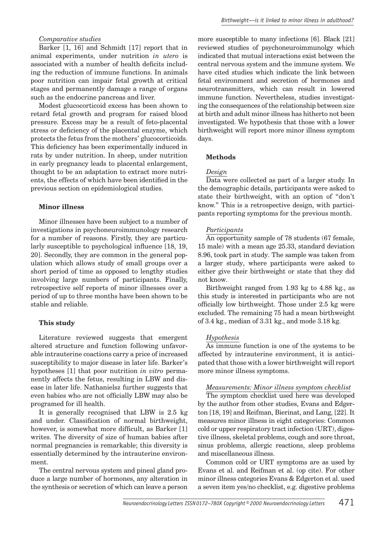## *Comparative studies*

Barker [1, 16] and Schmidt [17] report that in animal experiments, under nutrition *in utero* is associated with a number of health deficits including the reduction of immune functions. In animals poor nutrition can impair fetal growth at critical stages and permanently damage a range of organs such as the endocrine pancreas and liver.

Modest glucocorticoid excess has been shown to retard fetal growth and program for raised blood pressure. Excess may be a result of feto-placental stress or deficiency of the placental enzyme, which protects the fetus from the mothers' glucocorticoids. This deficiency has been experimentally induced in rats by under nutrition. In sheep, under nutrition in early pregnancy leads to placental enlargement, thought to be an adaptation to extract more nutrients, the effects of which have been identified in the previous section on epidemiological studies.

### **Minor illness**

Minor illnesses have been subject to a number of investigations in psychoneuroimmunology research for a number of reasons. Firstly, they are particularly susceptible to psychological influence  $[18, 19,$ 20]. Secondly, they are common in the general population which allows study of small groups over a short period of time as opposed to lengthy studies involving large numbers of participants. Finally, retrospective self reports of minor illnesses over a period of up to three months have been shown to be stable and reliable.

#### **This study**

Literature reviewed suggests that emergent altered structure and function following unfavorable intrauterine coactions carry a price of increased susceptibility to major disease in later life. Barker's hypotheses [1] that poor nutrition *in vitro* permanently affects the fetus, resulting in LBW and disease in later life. Nathanielsz further suggests that even babies who are not officially LBW may also be programed for ill health.

It is generally recognised that LBW is 2.5 kg and under. Classification of normal birthweight, however, is somewhat more difficult, as Barker [1] writes. The diversity of size of human babies after normal pregnancies is remarkable; this diversity is essentially determined by the intrauterine environment.

The central nervous system and pineal gland produce a large number of hormones, any alteration in the synthesis or secretion of which can leave a person more susceptible to many infections [6]. Black [21] reviewed studies of psychoneuroimmunolgy which indicated that mutual interactions exist between the central nervous system and the immune system. We have cited studies which indicate the link between fetal environment and secretion of hormones and neurotransmitters, which can result in lowered immune function. Nevertheless, studies investigating the consequences of the relationship between size at birth and adult minor illness has hitherto not been investigated. We hypothesis that those with a lower birthweight will report more minor illness symptom days.

### **Methods**

#### *Design*

Data were collected as part of a larger study. In the demographic details, participants were asked to state their birthweight, with an option of "don't know." This is a retrospective design, with participants reporting symptoms for the previous month.

#### *Participants*

An opportunity sample of 78 students (67 female, 15 male) with a mean age 25.33, standard deviation 8.96, took part in study. The sample was taken from a larger study, where participants were asked to either give their birthweight or state that they did not know.

Birthweight ranged from 1.93 kg to 4.88 kg., as this study is interested in participants who are not officially low birthweight. Those under  $2.5$  kg were excluded. The remaining 75 had a mean birthweight of 3.4 kg., median of 3.31 kg., and mode 3.18 kg.

#### *Hypothesis*

As immune function is one of the systems to be affected by intrauterine environment, it is anticipated that those with a lower birthweight will report more minor illness symptoms.

#### *Measurements: Minor illness symptom checklist*

The symptom checklist used here was developed by the author from other studies, Evans and Edgerton [18, 19] and Reifman, Bierinat, and Lang, [22]. It measures minor illness in eight categories: Common cold or upper respiratory tract infection (URT), digestive illness, skeletal problems, cough and sore throat, sinus problems, allergic reactions, sleep problems and miscellaneous illness.

Common cold or URT symptoms are as used by Evans et al. and Reifman et al. (op cite). For other minor illness categories Evans & Edgerton et al. used a seven item yes/no checklist, e.g. digestive problems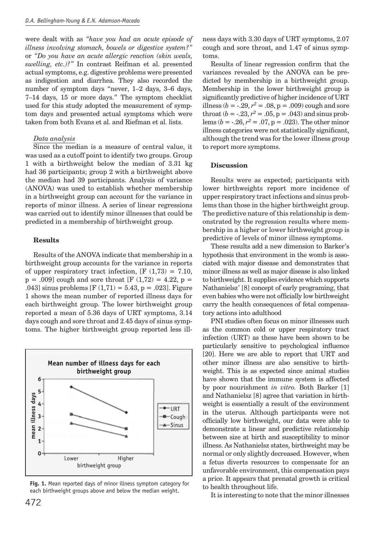were dealt with as *"have you had an acute episode of illness involving stomach, bowels or digestive system?"*  or *"Do you have an acute allergic reaction (skin weals, swelling, etc.)?"* In contrast Reifman et al. presented actual symptoms, e.g. digestive problems were presented as indigestion and diarrhea. They also recorded the number of symptom days "never, 1–2 days, 3–6 days, 7–14 days, 15 or more days." The symptom checklist used for this study adopted the measurement of symptom days and presented actual symptoms which were taken from both Evans et al. and Riefman et al. lists.

## *Data analysis*

Since the median is a measure of central value, it was used as a cutoff point to identify two groups. Group 1 with a birthweight below the median of 3.31 kg had 36 participants; group 2 with a birthweight above the median had 39 participants. Analysis of variance (ANOVA) was used to establish whether membership in a birthweight group can account for the variance in reports of minor illness. A series of linear regressions was carried out to identify minor illnesses that could be predicted in a membership of birthweight group.

## **Results**

Results of the ANOVA indicate that membership in a birthweight group accounts for the variance in reports of upper respiratory tract infection,  $[F (1,73) = 7.10]$ ,  $p = .009$  cough and sore throat [F (1,72) = 4.22,  $p =$ .043] sinus problems  $[F(1,71) = 5.43, p = .023]$ . Figure 1 shows the mean number of reported illness days for each birthweight group. The lower birthweight group reported a mean of 5.36 days of URT symptoms, 3.14 days cough and sore throat and 2.45 days of sinus symptoms. The higher birthweight group reported less ill-



**Fig. 1.** Mean reported days of minor illness symptom category for each birthweight groups above and below the median weight.

ness days with 3.30 days of URT symptoms, 2.07 cough and sore throat, and 1.47 of sinus symptoms.

Results of linear regression confirm that the variances revealed by the ANOVA can be predicted by membership in a birthweight group. Membership in the lower birthweight group is significantly predictive of higher incidence of URT illness ( $b = -0.29$ ,  $r^2 = 0.08$ ,  $p = 0.009$ ) cough and sore throat  $(b = -0.23, r^2 = 0.05, p = 0.043)$  and sinus problems ( $b = -0.26$ ,  $r^2 = 0.07$ ,  $p = 0.023$ ). The other minor illness categories were not statistically significant. although the trend was for the lower illness group to report more symptoms.

## **Discussion**

Results were as expected; participants with lower birthweights report more incidence of upper respiratory tract infections and sinus problems than those in the higher birthweight group. The predictive nature of this relationship is demonstrated by the regression results where membership in a higher or lower birthweight group is predictive of levels of minor illness symptoms.

These results add a new dimension to Barker's hypothesis that environment in the womb is associated with major disease and demonstrates that minor illness as well as major disease is also linked to birthweight. It supplies evidence which supports Nathanielsz' [8] concept of early programing, that even babies who were not officially low birthweight carry the health consequences of fetal compensatory actions into adulthood

PNI studies often focus on minor illnesses such as the common cold or upper respiratory tract infection (URT) as these have been shown to be particularly sensitive to psychological influence [20]. Here we are able to report that URT and other minor illness are also sensitive to birthweight. This is as expected since animal studies have shown that the immune system is affected by poor nourishment *in vitro.* Both Barker [1] and Nathanielsz [8] agree that variation in birthweight is essentially a result of the environment in the uterus. Although participants were not offi cially low birthweight, our data were able to demonstrate a linear and predictive relationship between size at birth and susceptibility to minor illness. As Nathanielsz states, birthweight may be normal or only slightly decreased. However, when a fetus diverts resources to compensate for an unfavorable environment, this compensation pays a price. It appears that prenatal growth is critical to health throughout life.

It is interesting to note that the minor illnesses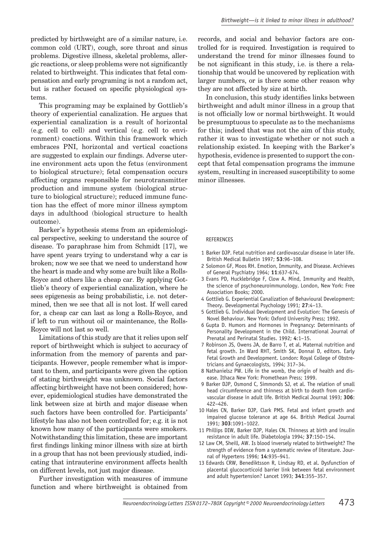predicted by birthweight are of a similar nature, i.e. common cold (URT), cough, sore throat and sinus problems. Digestive illness, skeletal problems, allergic reactions, or sleep problems were not significantly related to birthweight. This indicates that fetal compensation and early programing is not a random act, but is rather focused on specific physiological systems.

This programing may be explained by Gottlieb's theory of experiential canalization. He argues that experiential canalization is a result of horizontal (e.g. cell to cell) and vertical (e.g. cell to environment) coactions. Within this framework which embraces PNI, horizontal and vertical coactions are suggested to explain our findings. Adverse uterine environment acts upon the fetus (environment to biological structure); fetal compensation occurs affecting organs responsible for neurotransmitter production and immune system (biological structure to biological structure); reduced immune function has the effect of more minor illness symptom days in adulthood (biological structure to health outcome).

Barker's hypothesis stems from an epidemiological perspective, seeking to understand the source of disease. To paraphrase him from Schmidt [17], we have spent years trying to understand why a car is broken; now we see that we need to understand how the heart is made and why some are built like a Rolls-Royce and others like a cheap car. By applying Gottlieb's theory of experiential canalization, where he sees epigenesis as being probabilistic, i.e. not determined, then we see that all is not lost. If well cared for, a cheap car can last as long a Rolls-Royce, and if left to run without oil or maintenance, the Rolls-Royce will not last so well.

Limitations of this study are that it relies upon self report of birthweight which is subject to accuracy of information from the memory of parents and participants. However, people remember what is important to them, and participants were given the option of stating birthweight was unknown. Social factors affecting birthweight have not been considered; however, epidemiological studies have demonstrated the link between size at birth and major disease when such factors have been controlled for. Participants' lifestyle has also not been controlled for; e.g. it is not known how many of the participants were smokers. Notwithstanding this limitation, these are important first findings linking minor illness with size at birth in a group that has not been previously studied, indicating that intrauterine environment affects health on different levels, not just major disease.

Further investigation with measures of immune function and where birthweight is obtained from records, and social and behavior factors are controlled for is required. Investigation is required to understand the trend for minor illnesses found to be not significant in this study, i.e. is there a relationship that would be uncovered by replication with larger numbers, or is there some other reason why they are not affected by size at birth.

In conclusion, this study identifies links between birthweight and adult minor illness in a group that is not officially low or normal birthweight. It would be presumptuous to speculate as to the mechanisms for this; indeed that was not the aim of this study, rather it was to investigate whether or not such a relationship existed. In keeping with the Barker's hypothesis, evidence is presented to support the concept that fetal compensation programs the immune system, resulting in increased susceptibility to some minor illnesses.

#### REFERENCES

- 1 Barker DJP. Fetal nutrition and cardiovascular disease in later life. British Medical Bulletin 1997; **53**:96–108.
- 2 Solomon GF, Moos RH. Emotion, Immunity, and Disease. Archieves of General Psychiatry 1964; **11**:637-674.
- 3 Evans PD, Hucklebridge F, Clow A. Mind, Immunity and Health, the science of psychoneuroimmunology. London, New York: Free Association Books; 2000.
- 4 Gottlieb G. Experiential Canalization of Behavioural Development: Theory. Developmental Psychology 1991; **27**:4–13.
- 5 Gottlieb G. Individual Development and Evolution: The Genesis of Novel Behaviour. New York: Oxford University Press; 1992.
- 6 Gupta D. Humors and Hormones in Pregnancy: Determinants of Personality Development in the Child. International Journal of Prenatal and Perinatal Studies. 1992; **4**:1–15.
- 7 Robinson JS, Owens JA, de Barro T, et al. Maternal nutrition and fetal growth. In Ward RHT, Smith SK, Donnai D, editors. Early Fetal Growth and Development. London: Royal College of Obstretricians and Gynaecologists, 1994; 317–34.
- 8 Nathanielsz PW. Life in the womb, the origin of health and disease. Ithaca New York: Promethean Press; 1999.
- 9 Barker DJP, Osmond C, Simmonds SJ, et al. The relation of small head circumference and thinness at birth to death from cardiovascular disease in adult life. British Medical Journal 1993; **306**: 422–426.
- 10 Hales CN, Barker DJP, Clark PMS. Fetal and infant growth and impaired glucose tolerance at age 64. British Medical Journal 1991; **303**:1091–1022.
- 11 Phillips DIW, Barker DJP, Hales CN. Thinness at birth and insulin resistance in adult life. Diabetologia 1994; **37**:150–154.
- 12 Law CM, Sheill, AW. Is blood inversely related to birthweight? The strength of evidence from a systematic review of literature. Journal of Hypertens 1996; **14**:935–941.
- 13 Edwards CRW, Benediktsson R, Lindsay RD, et al. Dysfunction of placental glucocorticoid barrier link between fetal environment and adult hypertension? Lancet 1993; **341**:355–357.